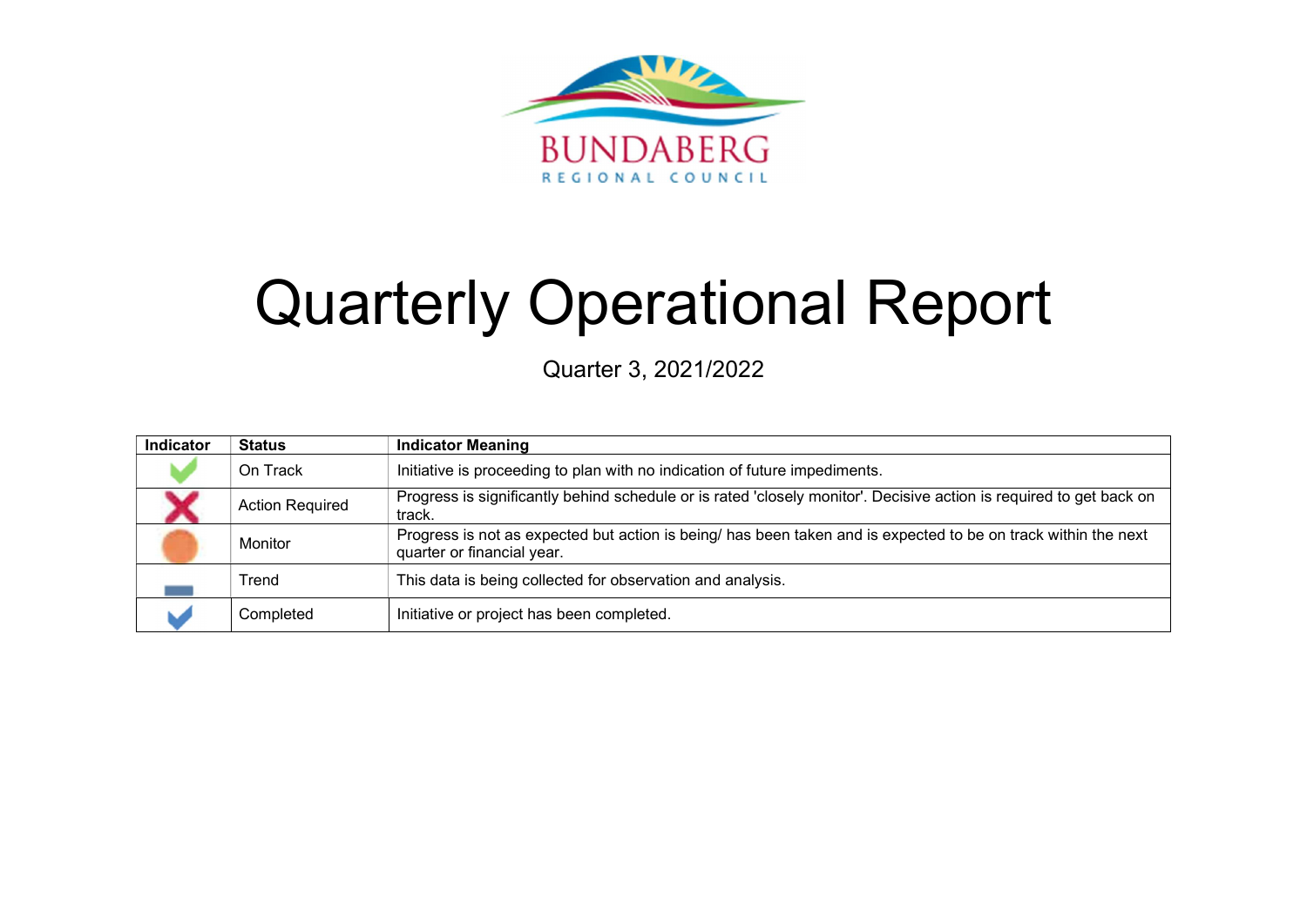

# Quarterly Operational Report

Quarter 3, 2021/2022

| Indicator | <b>Status</b>          | <b>Indicator Meaning</b>                                                                                                                     |
|-----------|------------------------|----------------------------------------------------------------------------------------------------------------------------------------------|
|           | On Track               | Initiative is proceeding to plan with no indication of future impediments.                                                                   |
|           | <b>Action Required</b> | Progress is significantly behind schedule or is rated 'closely monitor'. Decisive action is required to get back on<br>track.                |
|           | Monitor                | Progress is not as expected but action is being/ has been taken and is expected to be on track within the next<br>quarter or financial year. |
|           | Trend                  | This data is being collected for observation and analysis.                                                                                   |
|           | Completed              | Initiative or project has been completed.                                                                                                    |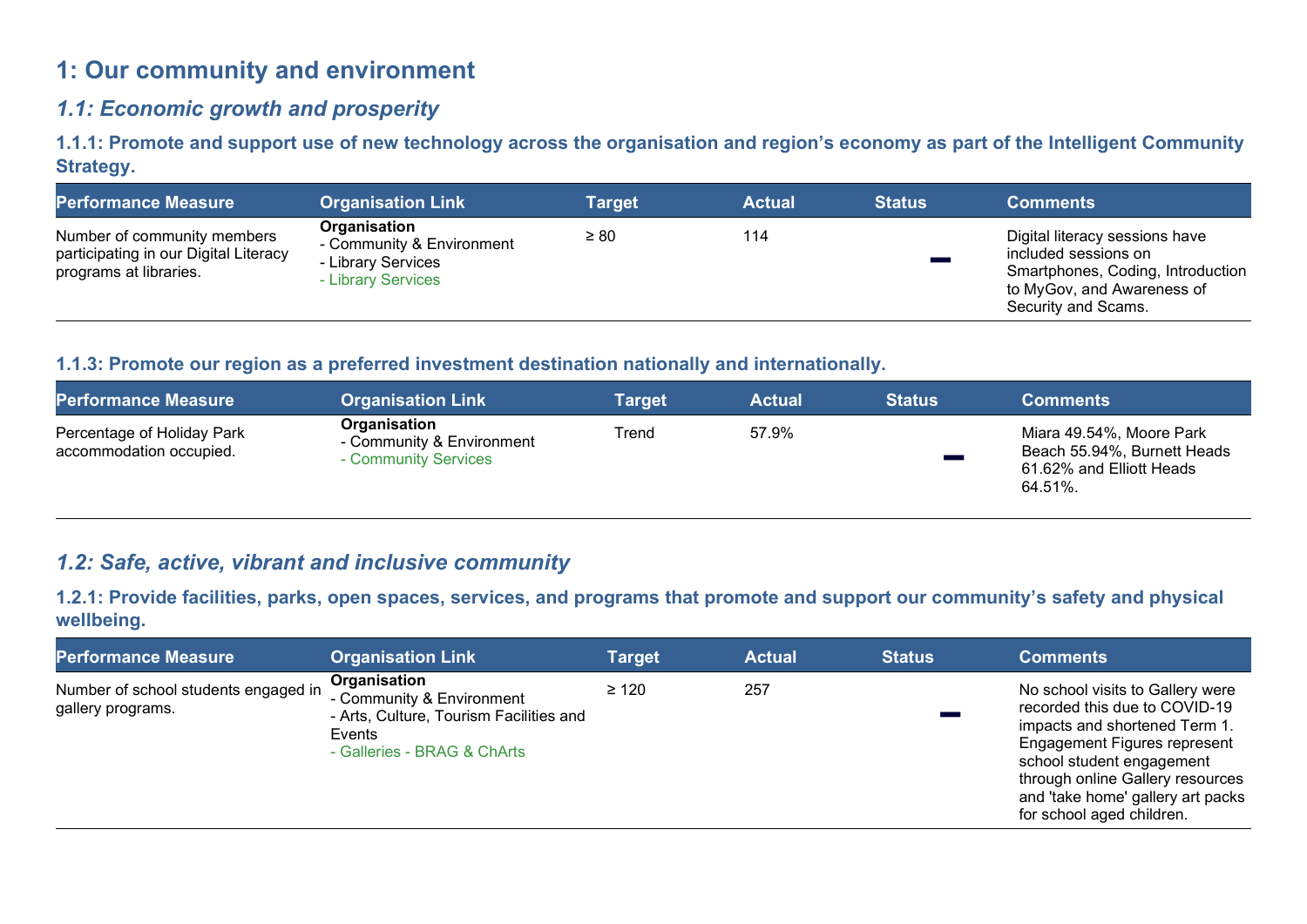# 1: Our community and environment

# 1.1: Economic growth and prosperity

1.1.1: Promote and support use of new technology across the organisation and region's economy as part of the Intelligent Community Strategy.

| <b>Performance Measure</b>                                                                     | <b>Organisation Link</b>                                                              | <b>Target</b> | <b>Actual</b> | <b>Status</b> | <b>Comments</b>                                                                                                                                  |
|------------------------------------------------------------------------------------------------|---------------------------------------------------------------------------------------|---------------|---------------|---------------|--------------------------------------------------------------------------------------------------------------------------------------------------|
| Number of community members<br>participating in our Digital Literacy<br>programs at libraries. | Organisation<br>- Community & Environment<br>- Library Services<br>- Library Services | $\geq 80$     | 114           |               | Digital literacy sessions have<br>included sessions on<br>Smartphones, Coding, Introduction<br>to MyGov, and Awareness of<br>Security and Scams. |

#### 1.1.3: Promote our region as a preferred investment destination nationally and internationally.

| <b>Performance Measure</b>                            | <b>Organisation Link</b>                                          | Target | <b>Actual</b> | <b>Status</b> | <b>Comments</b>                                                                                |
|-------------------------------------------------------|-------------------------------------------------------------------|--------|---------------|---------------|------------------------------------------------------------------------------------------------|
| Percentage of Holiday Park<br>accommodation occupied. | Organisation<br>- Community & Environment<br>- Community Services | Trend  | 57.9%         |               | Miara 49.54%, Moore Park<br>Beach 55.94%, Burnett Heads<br>61.62% and Elliott Heads<br>64.51%. |

# 1.2: Safe, active, vibrant and inclusive community

1.2.1: Provide facilities, parks, open spaces, services, and programs that promote and support our community's safety and physical wellbeing.

| <b>Performance Measure</b>                                | <b>Organisation Link</b>                                                                                                      | Target     | <b>Actual</b> | <b>Status</b> | <b>Comments</b>                                                                                                                                                                                                                                                              |
|-----------------------------------------------------------|-------------------------------------------------------------------------------------------------------------------------------|------------|---------------|---------------|------------------------------------------------------------------------------------------------------------------------------------------------------------------------------------------------------------------------------------------------------------------------------|
| Number of school students engaged in<br>gallery programs. | Organisation<br>- Community & Environment<br>- Arts, Culture, Tourism Facilities and<br>Events<br>- Galleries - BRAG & ChArts | $\geq 120$ | 257           |               | No school visits to Gallery were<br>recorded this due to COVID-19<br>impacts and shortened Term 1.<br><b>Engagement Figures represent</b><br>school student engagement<br>through online Gallery resources<br>and 'take home' gallery art packs<br>for school aged children. |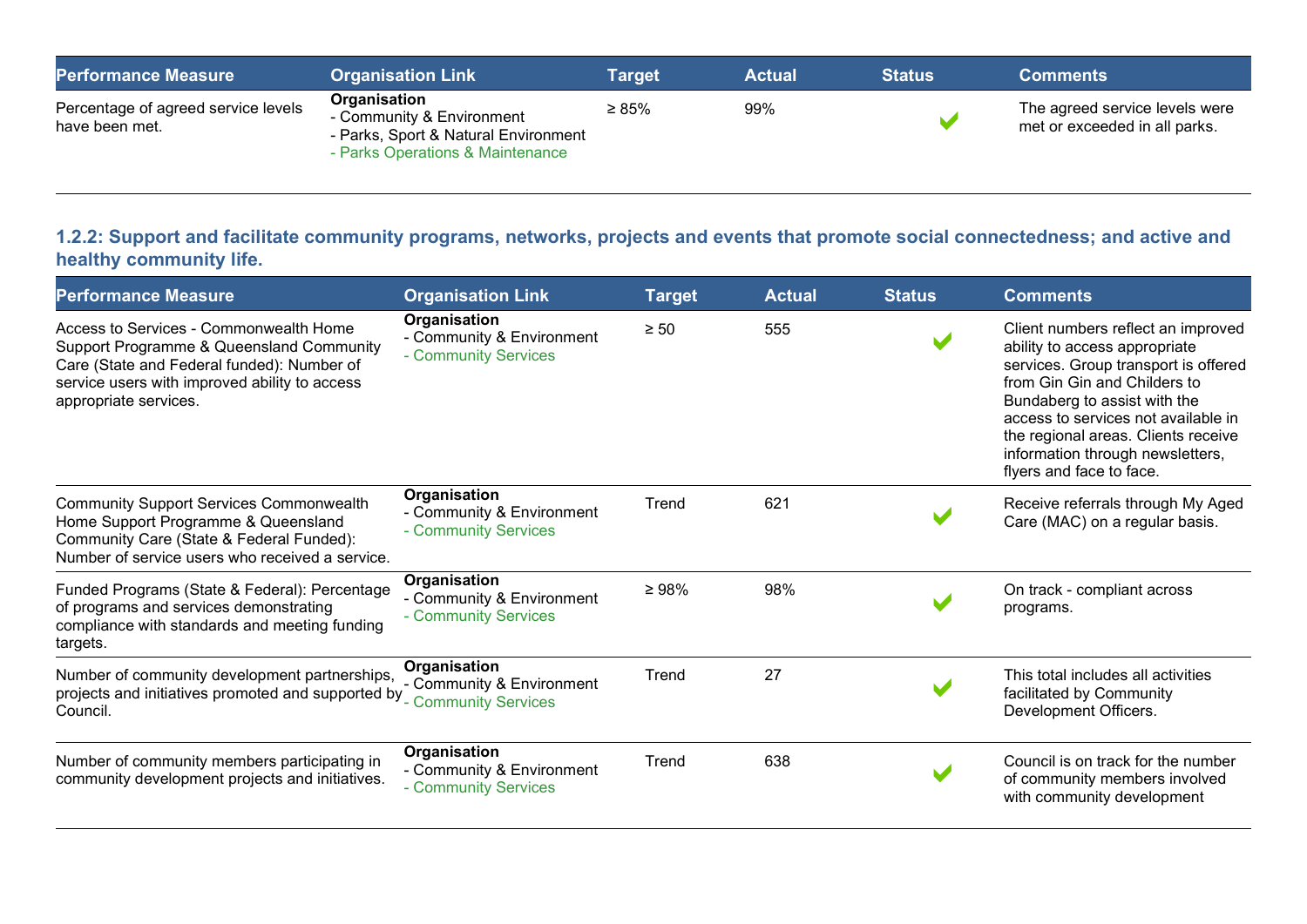| <b>Performance Measure</b>                            | <b>Organisation Link</b>                                                                                              | Tarqet      | <b>Actual</b> | <b>Status</b> | <b>Comments</b>                                                 |
|-------------------------------------------------------|-----------------------------------------------------------------------------------------------------------------------|-------------|---------------|---------------|-----------------------------------------------------------------|
| Percentage of agreed service levels<br>have been met. | Organisation<br>- Community & Environment<br>- Parks, Sport & Natural Environment<br>- Parks Operations & Maintenance | $\geq 85\%$ | 99%           |               | The agreed service levels were<br>met or exceeded in all parks. |

## 1.2.2: Support and facilitate community programs, networks, projects and events that promote social connectedness; and active and healthy community life.

| <b>Performance Measure</b>                                                                                                                                                                                 | <b>Organisation Link</b>                                          | <b>Target</b> | <b>Actual</b> | <b>Status</b> | <b>Comments</b>                                                                                                                                                                                                                                                                                                           |
|------------------------------------------------------------------------------------------------------------------------------------------------------------------------------------------------------------|-------------------------------------------------------------------|---------------|---------------|---------------|---------------------------------------------------------------------------------------------------------------------------------------------------------------------------------------------------------------------------------------------------------------------------------------------------------------------------|
| Access to Services - Commonwealth Home<br>Support Programme & Queensland Community<br>Care (State and Federal funded): Number of<br>service users with improved ability to access<br>appropriate services. | Organisation<br>- Community & Environment<br>- Community Services | $\geq 50$     | 555           |               | Client numbers reflect an improved<br>ability to access appropriate<br>services. Group transport is offered<br>from Gin Gin and Childers to<br>Bundaberg to assist with the<br>access to services not available in<br>the regional areas. Clients receive<br>information through newsletters,<br>flyers and face to face. |
| <b>Community Support Services Commonwealth</b><br>Home Support Programme & Queensland<br>Community Care (State & Federal Funded):<br>Number of service users who received a service.                       | Organisation<br>- Community & Environment<br>- Community Services | Trend         | 621           |               | Receive referrals through My Aged<br>Care (MAC) on a regular basis.                                                                                                                                                                                                                                                       |
| Funded Programs (State & Federal): Percentage<br>of programs and services demonstrating<br>compliance with standards and meeting funding<br>targets.                                                       | Organisation<br>- Community & Environment<br>- Community Services | $\geq 98\%$   | 98%           |               | On track - compliant across<br>programs.                                                                                                                                                                                                                                                                                  |
| Number of community development partnerships,<br>projects and initiatives promoted and supported by<br>Council.                                                                                            | Organisation<br>- Community & Environment<br>- Community Services | Trend         | 27            |               | This total includes all activities<br>facilitated by Community<br>Development Officers.                                                                                                                                                                                                                                   |
| Number of community members participating in<br>community development projects and initiatives.                                                                                                            | Organisation<br>- Community & Environment<br>- Community Services | Trend         | 638           |               | Council is on track for the number<br>of community members involved<br>with community development                                                                                                                                                                                                                         |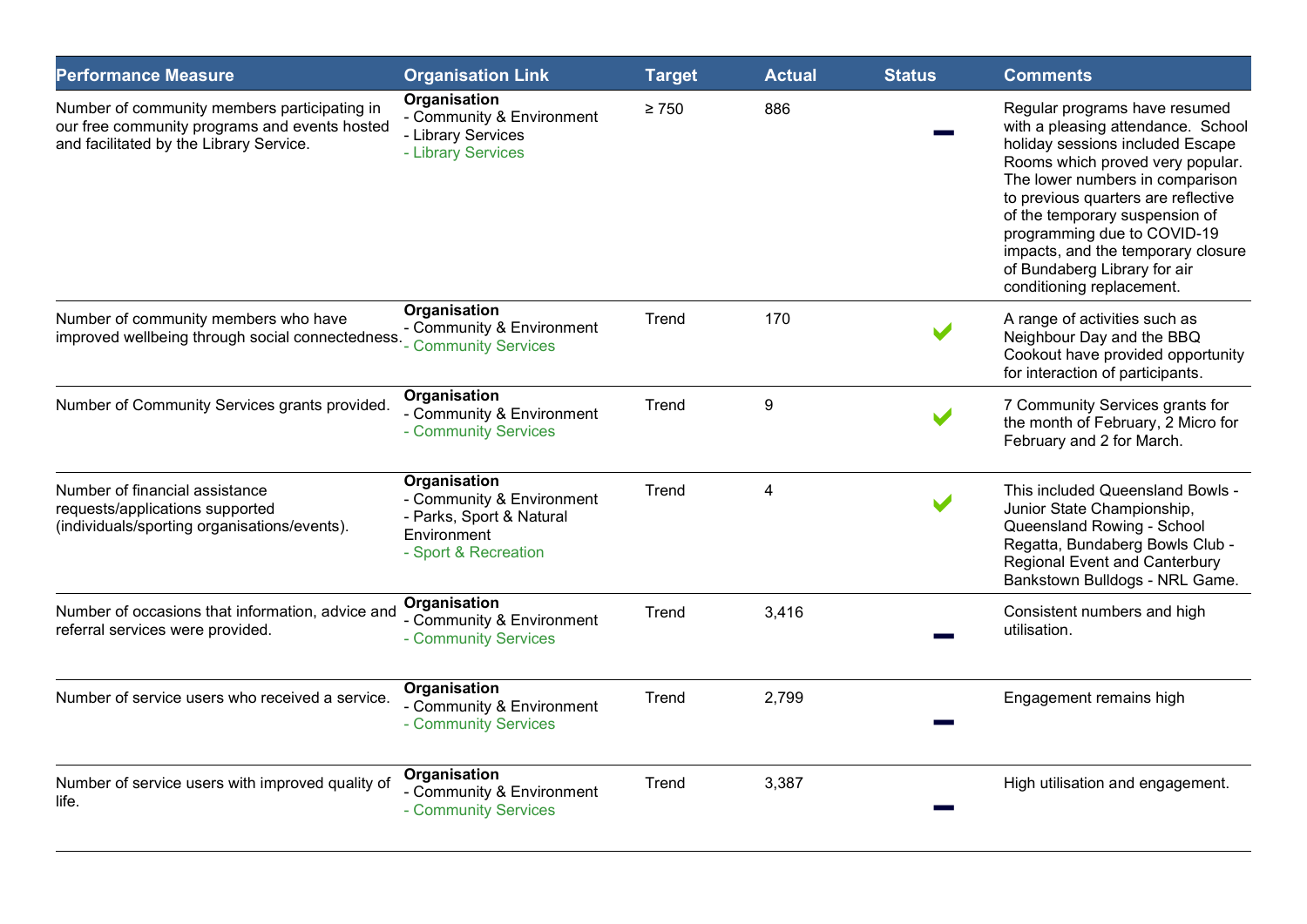| <b>Performance Measure</b>                                                                                                               | <b>Organisation Link</b>                                                                                     | <b>Target</b> | <b>Actual</b> | <b>Status</b> | <b>Comments</b>                                                                                                                                                                                                                                                                                                                                                                           |
|------------------------------------------------------------------------------------------------------------------------------------------|--------------------------------------------------------------------------------------------------------------|---------------|---------------|---------------|-------------------------------------------------------------------------------------------------------------------------------------------------------------------------------------------------------------------------------------------------------------------------------------------------------------------------------------------------------------------------------------------|
| Number of community members participating in<br>our free community programs and events hosted<br>and facilitated by the Library Service. | Organisation<br>- Community & Environment<br>- Library Services<br>- Library Services                        | $\geq 750$    | 886           |               | Regular programs have resumed<br>with a pleasing attendance. School<br>holiday sessions included Escape<br>Rooms which proved very popular.<br>The lower numbers in comparison<br>to previous quarters are reflective<br>of the temporary suspension of<br>programming due to COVID-19<br>impacts, and the temporary closure<br>of Bundaberg Library for air<br>conditioning replacement. |
| Number of community members who have<br>improved wellbeing through social connectedness. Community Services                              | Organisation<br>- Community & Environment                                                                    | Trend         | 170           |               | A range of activities such as<br>Neighbour Day and the BBQ<br>Cookout have provided opportunity<br>for interaction of participants.                                                                                                                                                                                                                                                       |
| Number of Community Services grants provided.                                                                                            | Organisation<br>- Community & Environment<br>- Community Services                                            | Trend         | 9             |               | 7 Community Services grants for<br>the month of February, 2 Micro for<br>February and 2 for March.                                                                                                                                                                                                                                                                                        |
| Number of financial assistance<br>requests/applications supported<br>(individuals/sporting organisations/events).                        | Organisation<br>- Community & Environment<br>- Parks, Sport & Natural<br>Environment<br>- Sport & Recreation | Trend         | 4             |               | This included Queensland Bowls -<br>Junior State Championship,<br>Queensland Rowing - School<br>Regatta, Bundaberg Bowls Club -<br><b>Regional Event and Canterbury</b><br>Bankstown Bulldogs - NRL Game.                                                                                                                                                                                 |
| Number of occasions that information, advice and<br>referral services were provided.                                                     | <b>Organisation</b><br>- Community & Environment<br>- Community Services                                     | Trend         | 3,416         |               | Consistent numbers and high<br>utilisation.                                                                                                                                                                                                                                                                                                                                               |
| Number of service users who received a service.                                                                                          | <b>Organisation</b><br>- Community & Environment<br>- Community Services                                     | Trend         | 2,799         |               | Engagement remains high                                                                                                                                                                                                                                                                                                                                                                   |
| Number of service users with improved quality of<br>life.                                                                                | <b>Organisation</b><br>- Community & Environment<br>- Community Services                                     | Trend         | 3,387         |               | High utilisation and engagement.                                                                                                                                                                                                                                                                                                                                                          |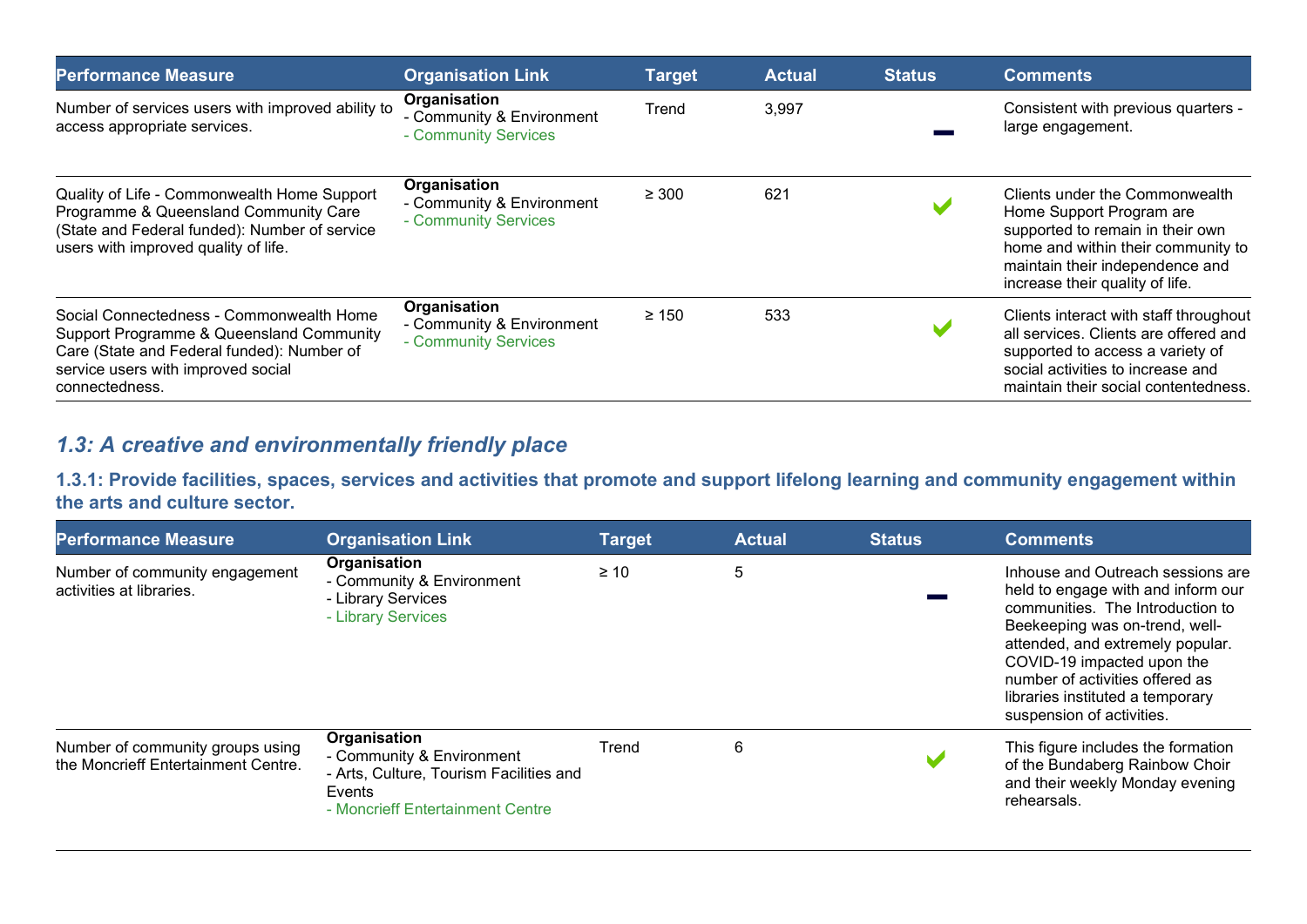| Performance Measure                                                                                                                                                                        | <b>Organisation Link</b>                                          | <b>Target</b> | <b>Actual</b> | <b>Status</b> | <b>Comments</b>                                                                                                                                                                                            |
|--------------------------------------------------------------------------------------------------------------------------------------------------------------------------------------------|-------------------------------------------------------------------|---------------|---------------|---------------|------------------------------------------------------------------------------------------------------------------------------------------------------------------------------------------------------------|
| Number of services users with improved ability to<br>access appropriate services.                                                                                                          | Organisation<br>- Community & Environment<br>- Community Services | Trend         | 3,997         |               | Consistent with previous quarters -<br>large engagement.                                                                                                                                                   |
| Quality of Life - Commonwealth Home Support<br>Programme & Queensland Community Care<br>(State and Federal funded): Number of service<br>users with improved quality of life.              | Organisation<br>- Community & Environment<br>- Community Services | $\geq 300$    | 621           |               | Clients under the Commonwealth<br>Home Support Program are<br>supported to remain in their own<br>home and within their community to<br>maintain their independence and<br>increase their quality of life. |
| Social Connectedness - Commonwealth Home<br>Support Programme & Queensland Community<br>Care (State and Federal funded): Number of<br>service users with improved social<br>connectedness. | Organisation<br>- Community & Environment<br>- Community Services | $\geq 150$    | 533           |               | Clients interact with staff throughout<br>all services. Clients are offered and<br>supported to access a variety of<br>social activities to increase and<br>maintain their social contentedness.           |

# 1.3: A creative and environmentally friendly place

1.3.1: Provide facilities, spaces, services and activities that promote and support lifelong learning and community engagement within the arts and culture sector.

| <b>Performance Measure</b>                                              | <b>Organisation Link</b>                                                                                                           | <b>Target</b> | <b>Actual</b> | <b>Status</b> | <b>Comments</b>                                                                                                                                                                                                                                                                                                     |
|-------------------------------------------------------------------------|------------------------------------------------------------------------------------------------------------------------------------|---------------|---------------|---------------|---------------------------------------------------------------------------------------------------------------------------------------------------------------------------------------------------------------------------------------------------------------------------------------------------------------------|
| Number of community engagement<br>activities at libraries.              | Organisation<br>- Community & Environment<br>- Library Services<br>- Library Services                                              | $\geq 10$     | 5             |               | Inhouse and Outreach sessions are<br>held to engage with and inform our<br>communities. The Introduction to<br>Beekeeping was on-trend, well-<br>attended, and extremely popular.<br>COVID-19 impacted upon the<br>number of activities offered as<br>libraries instituted a temporary<br>suspension of activities. |
| Number of community groups using<br>the Moncrieff Entertainment Centre. | Organisation<br>- Community & Environment<br>- Arts, Culture, Tourism Facilities and<br>Events<br>- Moncrieff Entertainment Centre | Trend         | 6             |               | This figure includes the formation<br>of the Bundaberg Rainbow Choir<br>and their weekly Monday evening<br>rehearsals.                                                                                                                                                                                              |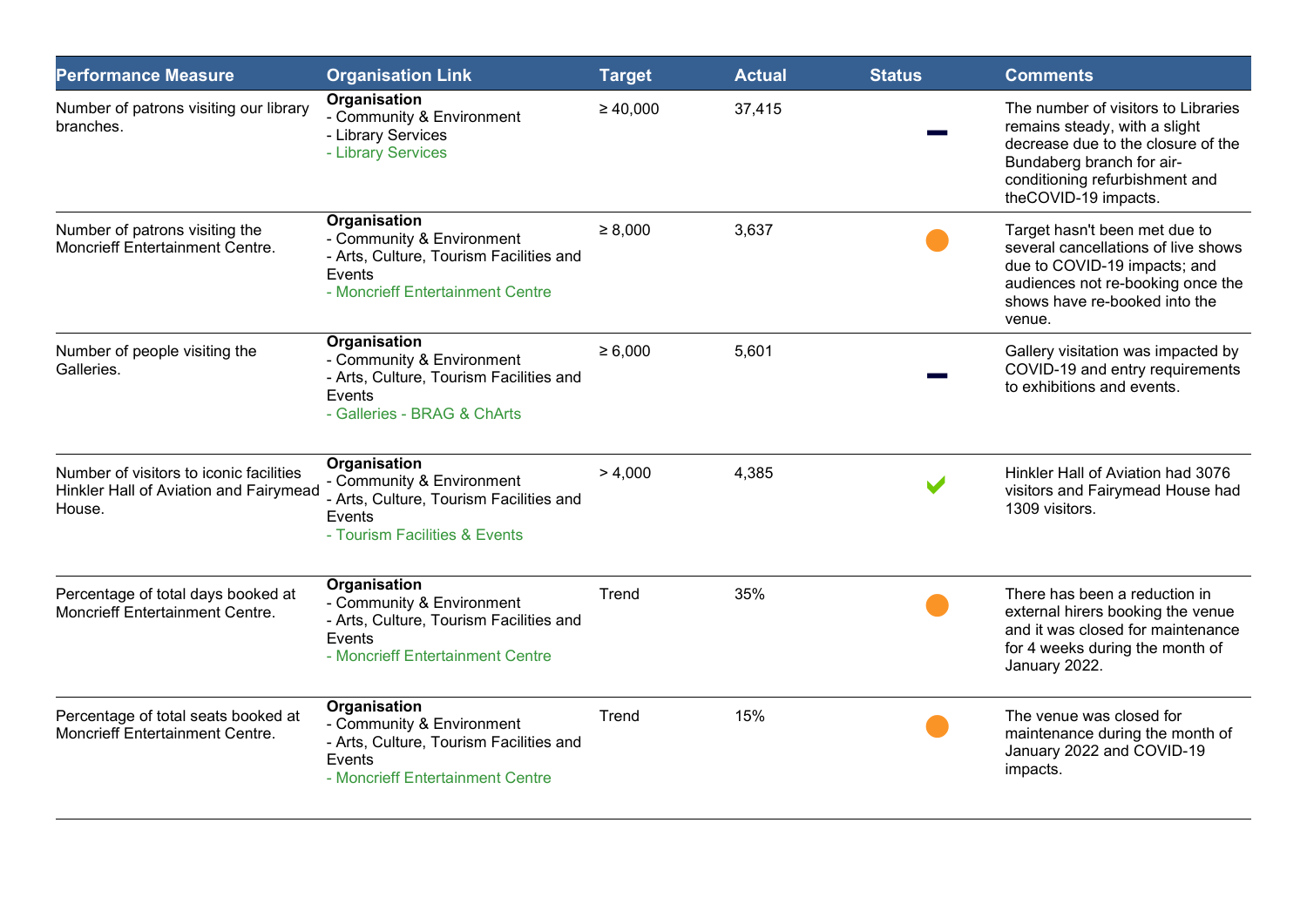| <b>Performance Measure</b>                                                                  | <b>Organisation Link</b>                                                                                                           | <b>Target</b> | <b>Actual</b> | <b>Status</b> | <b>Comments</b>                                                                                                                                                                                   |
|---------------------------------------------------------------------------------------------|------------------------------------------------------------------------------------------------------------------------------------|---------------|---------------|---------------|---------------------------------------------------------------------------------------------------------------------------------------------------------------------------------------------------|
| Number of patrons visiting our library<br>branches.                                         | Organisation<br>- Community & Environment<br>- Library Services<br>- Library Services                                              | $\geq 40,000$ | 37,415        |               | The number of visitors to Libraries<br>remains steady, with a slight<br>decrease due to the closure of the<br>Bundaberg branch for air-<br>conditioning refurbishment and<br>theCOVID-19 impacts. |
| Number of patrons visiting the<br>Moncrieff Entertainment Centre.                           | Organisation<br>- Community & Environment<br>- Arts, Culture, Tourism Facilities and<br>Events<br>- Moncrieff Entertainment Centre | $\geq 8,000$  | 3,637         |               | Target hasn't been met due to<br>several cancellations of live shows<br>due to COVID-19 impacts; and<br>audiences not re-booking once the<br>shows have re-booked into the<br>venue.              |
| Number of people visiting the<br>Galleries.                                                 | Organisation<br>- Community & Environment<br>- Arts, Culture, Tourism Facilities and<br>Events<br>- Galleries - BRAG & ChArts      | $\ge 6,000$   | 5,601         |               | Gallery visitation was impacted by<br>COVID-19 and entry requirements<br>to exhibitions and events.                                                                                               |
| Number of visitors to iconic facilities<br>Hinkler Hall of Aviation and Fairymead<br>House. | Organisation<br>- Community & Environment<br>- Arts, Culture, Tourism Facilities and<br>Events<br>- Tourism Facilities & Events    | > 4,000       | 4,385         |               | Hinkler Hall of Aviation had 3076<br>visitors and Fairymead House had<br>1309 visitors.                                                                                                           |
| Percentage of total days booked at<br><b>Moncrieff Entertainment Centre.</b>                | Organisation<br>- Community & Environment<br>- Arts, Culture, Tourism Facilities and<br>Events<br>- Moncrieff Entertainment Centre | Trend         | 35%           |               | There has been a reduction in<br>external hirers booking the venue<br>and it was closed for maintenance<br>for 4 weeks during the month of<br>January 2022.                                       |
| Percentage of total seats booked at<br>Moncrieff Entertainment Centre.                      | Organisation<br>- Community & Environment<br>- Arts, Culture, Tourism Facilities and<br>Events<br>- Moncrieff Entertainment Centre | Trend         | 15%           |               | The venue was closed for<br>maintenance during the month of<br>January 2022 and COVID-19<br>impacts.                                                                                              |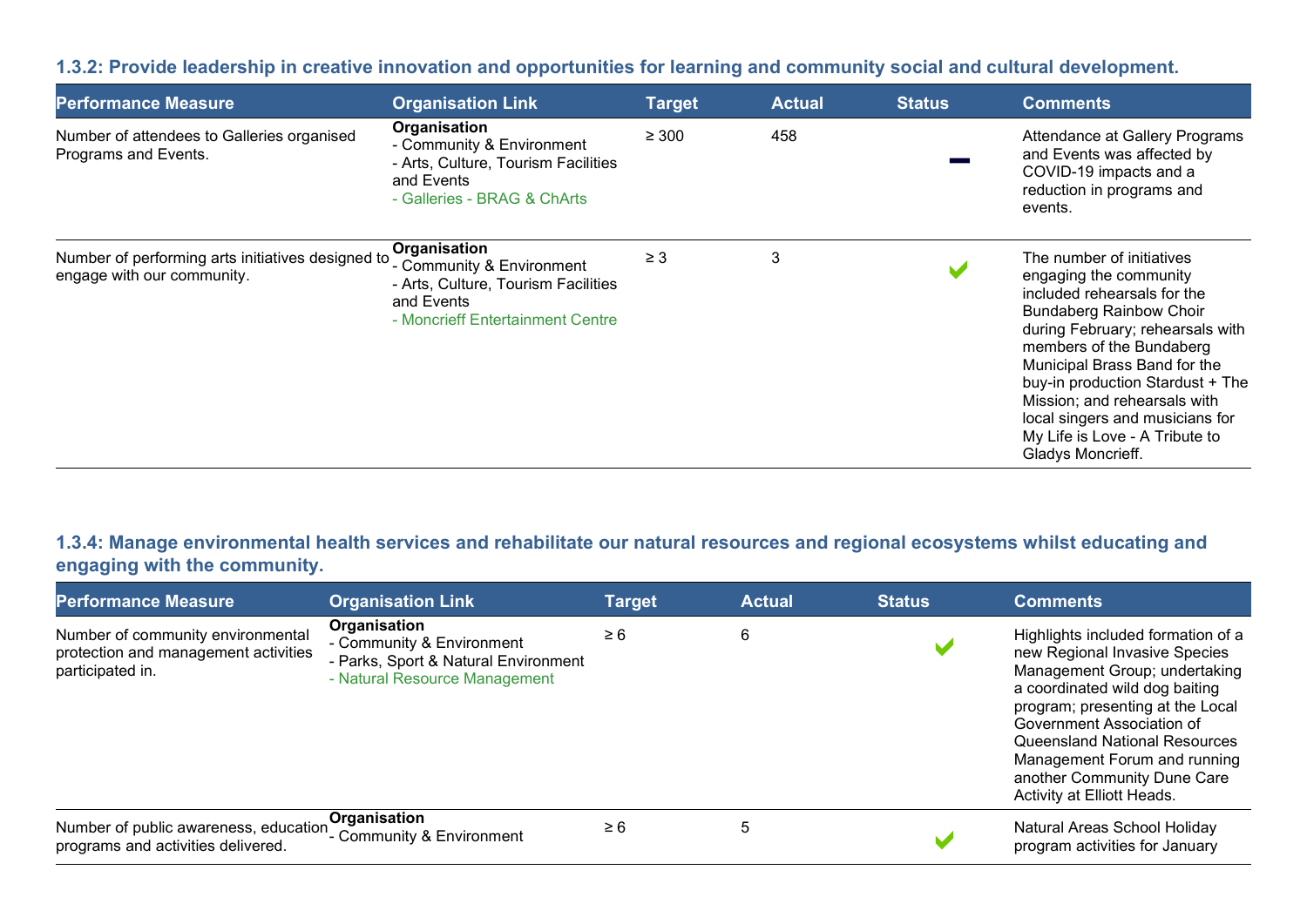#### 1.3.2: Provide leadership in creative innovation and opportunities for learning and community social and cultural development.

| <b>Performance Measure</b>                                                      | <b>Organisation Link</b>                                                                                                           | <b>Target</b> | <b>Actual</b> | <b>Status</b> | <b>Comments</b>                                                                                                                                                                                                                                                                                                                                                                    |
|---------------------------------------------------------------------------------|------------------------------------------------------------------------------------------------------------------------------------|---------------|---------------|---------------|------------------------------------------------------------------------------------------------------------------------------------------------------------------------------------------------------------------------------------------------------------------------------------------------------------------------------------------------------------------------------------|
| Number of attendees to Galleries organised<br>Programs and Events.              | Organisation<br>- Community & Environment<br>- Arts, Culture, Tourism Facilities<br>and Events<br>- Galleries - BRAG & ChArts      | $\geq 300$    | 458           |               | Attendance at Gallery Programs<br>and Events was affected by<br>COVID-19 impacts and a<br>reduction in programs and<br>events.                                                                                                                                                                                                                                                     |
| Number of performing arts initiatives designed to<br>engage with our community. | Organisation<br>- Community & Environment<br>- Arts, Culture, Tourism Facilities<br>and Events<br>- Moncrieff Entertainment Centre | $\geq 3$      | 3             |               | The number of initiatives<br>engaging the community<br>included rehearsals for the<br><b>Bundaberg Rainbow Choir</b><br>during February; rehearsals with<br>members of the Bundaberg<br>Municipal Brass Band for the<br>buy-in production Stardust + The<br>Mission; and rehearsals with<br>local singers and musicians for<br>My Life is Love - A Tribute to<br>Gladys Moncrieff. |

1.3.4: Manage environmental health services and rehabilitate our natural resources and regional ecosystems whilst educating and engaging with the community.

| <b>Performance Measure</b>                                                                    | <b>Organisation Link</b>                                                                                           | <b>Target</b> | <b>Actual</b> | <b>Status</b> | <b>Comments</b>                                                                                                                                                                                                                                                                                                                       |
|-----------------------------------------------------------------------------------------------|--------------------------------------------------------------------------------------------------------------------|---------------|---------------|---------------|---------------------------------------------------------------------------------------------------------------------------------------------------------------------------------------------------------------------------------------------------------------------------------------------------------------------------------------|
| Number of community environmental<br>protection and management activities<br>participated in. | Organisation<br>- Community & Environment<br>- Parks, Sport & Natural Environment<br>- Natural Resource Management | $\geq 6$      | 6             |               | Highlights included formation of a<br>new Regional Invasive Species<br>Management Group; undertaking<br>a coordinated wild dog baiting<br>program; presenting at the Local<br>Government Association of<br>Queensland National Resources<br>Management Forum and running<br>another Community Dune Care<br>Activity at Elliott Heads. |
| Number of public awareness, education<br>programs and activities delivered.                   | Organisation<br>- Community & Environment                                                                          | $\geq 6$      | 5             |               | Natural Areas School Holiday<br>program activities for January                                                                                                                                                                                                                                                                        |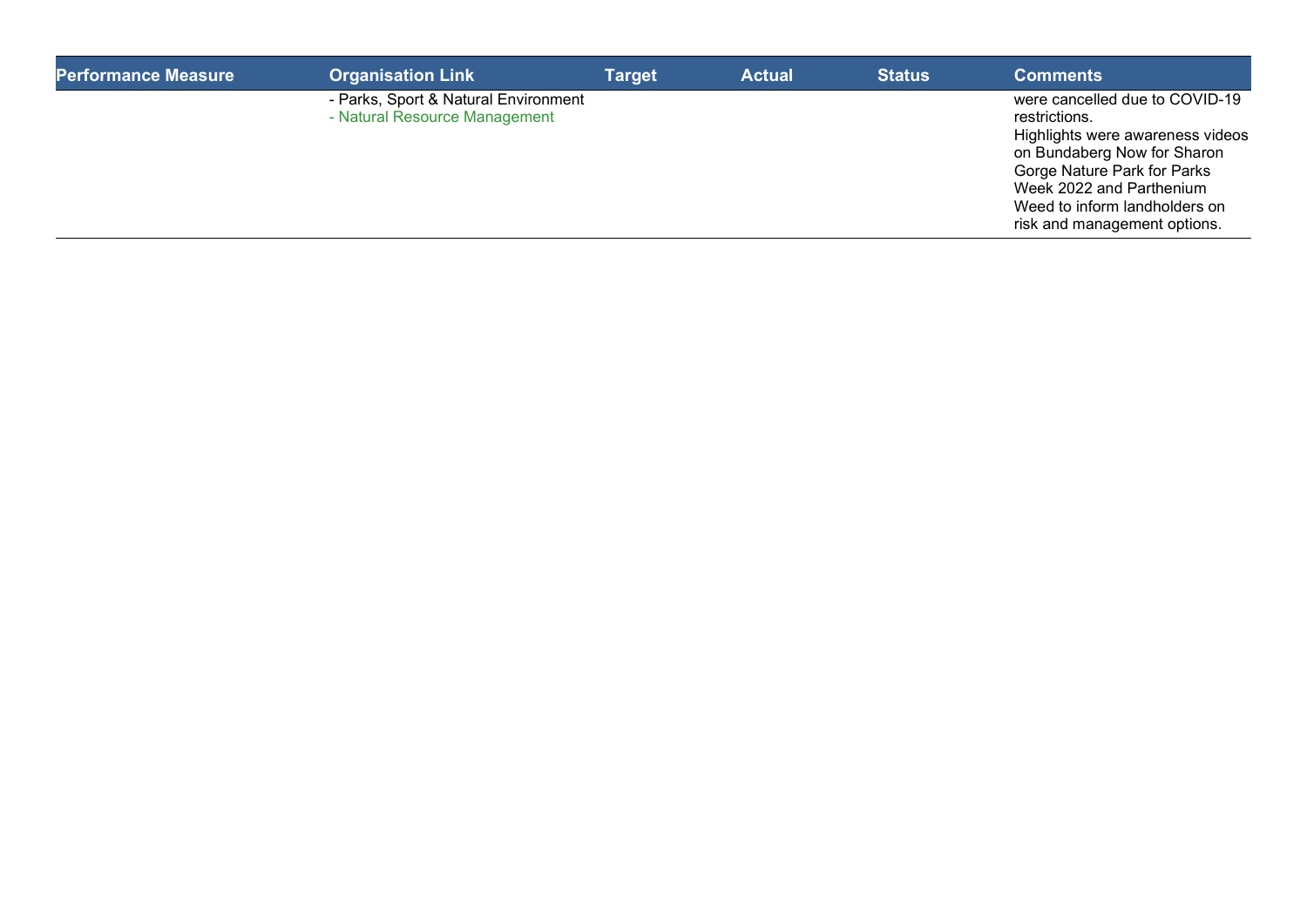| <b>Performance Measure</b> | <b>Organisation Link</b>                                              | <b>Target</b> | <b>Actual</b> | <b>Status</b> | <b>Comments</b>                                                                                                                                                                                                                                |
|----------------------------|-----------------------------------------------------------------------|---------------|---------------|---------------|------------------------------------------------------------------------------------------------------------------------------------------------------------------------------------------------------------------------------------------------|
|                            | - Parks, Sport & Natural Environment<br>- Natural Resource Management |               |               |               | were cancelled due to COVID-19<br>restrictions.<br>Highlights were awareness videos<br>on Bundaberg Now for Sharon<br>Gorge Nature Park for Parks<br>Week 2022 and Parthenium<br>Weed to inform landholders on<br>risk and management options. |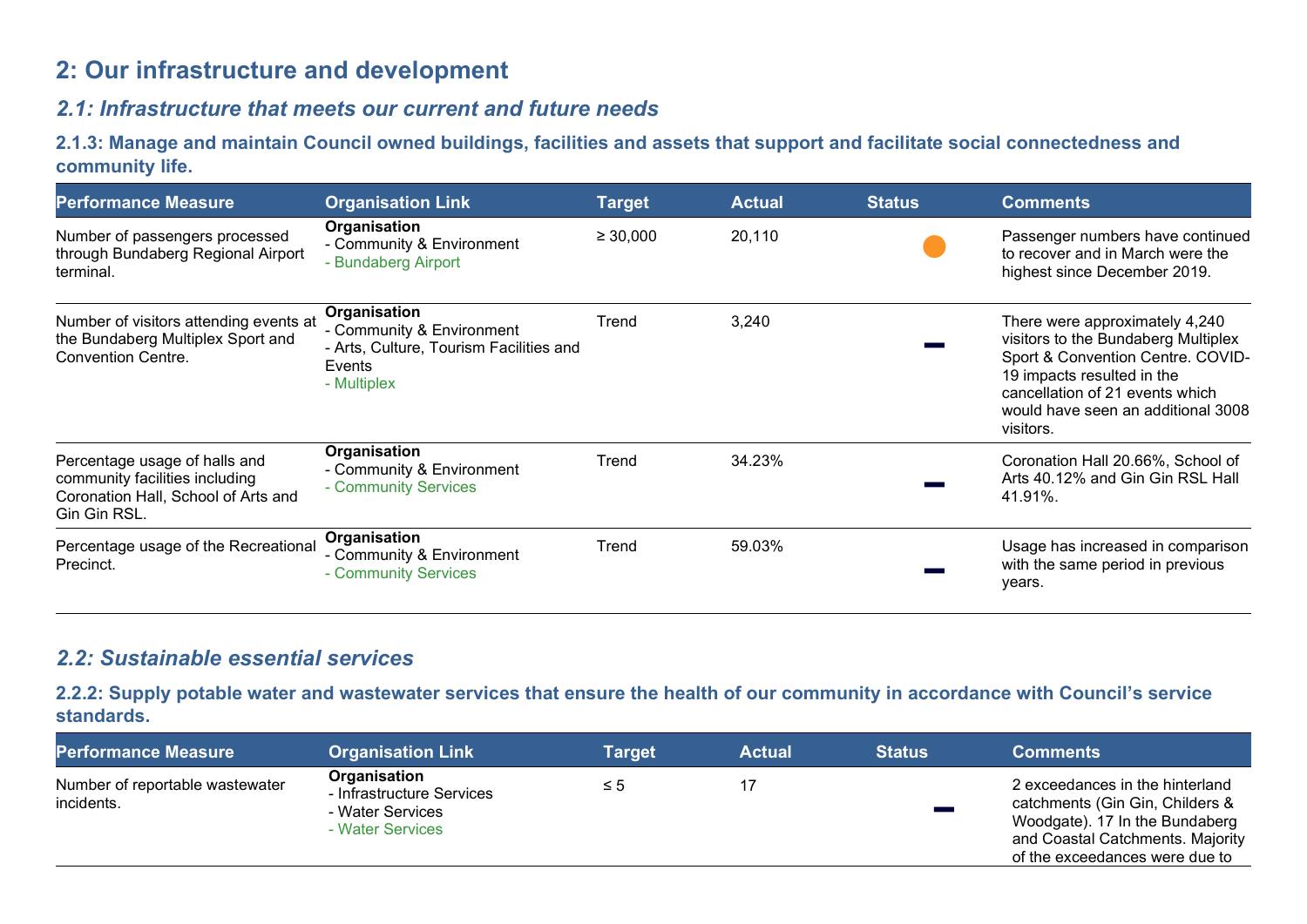# 2: Our infrastructure and development

## 2.1: Infrastructure that meets our current and future needs

2.1.3: Manage and maintain Council owned buildings, facilities and assets that support and facilitate social connectedness and community life.

| <b>Performance Measure</b>                                                                                             | <b>Organisation Link</b>                                                                                      | <b>Target</b> | <b>Actual</b> | <b>Status</b> | <b>Comments</b>                                                                                                                                                                                                                |
|------------------------------------------------------------------------------------------------------------------------|---------------------------------------------------------------------------------------------------------------|---------------|---------------|---------------|--------------------------------------------------------------------------------------------------------------------------------------------------------------------------------------------------------------------------------|
| Number of passengers processed<br>through Bundaberg Regional Airport<br>terminal.                                      | Organisation<br>- Community & Environment<br>- Bundaberg Airport                                              | $\geq 30,000$ | 20,110        |               | Passenger numbers have continued<br>to recover and in March were the<br>highest since December 2019.                                                                                                                           |
| Number of visitors attending events at<br>the Bundaberg Multiplex Sport and<br><b>Convention Centre.</b>               | Organisation<br>- Community & Environment<br>- Arts, Culture, Tourism Facilities and<br>Events<br>- Multiplex | Trend         | 3,240         |               | There were approximately 4,240<br>visitors to the Bundaberg Multiplex<br>Sport & Convention Centre. COVID-<br>19 impacts resulted in the<br>cancellation of 21 events which<br>would have seen an additional 3008<br>visitors. |
| Percentage usage of halls and<br>community facilities including<br>Coronation Hall, School of Arts and<br>Gin Gin RSL. | Organisation<br>- Community & Environment<br>- Community Services                                             | Trend         | 34.23%        |               | Coronation Hall 20.66%, School of<br>Arts 40.12% and Gin Gin RSL Hall<br>41.91%.                                                                                                                                               |
| Percentage usage of the Recreational<br>Precinct.                                                                      | Organisation<br>- Community & Environment<br>- Community Services                                             | Trend         | 59.03%        |               | Usage has increased in comparison<br>with the same period in previous<br>years.                                                                                                                                                |

## 2.2: Sustainable essential services

2.2.2: Supply potable water and wastewater services that ensure the health of our community in accordance with Council's service standards.

| <b>Performance Measure</b>                    | <b>Organisation Link</b>                                                          | Target | <b>Actual</b> | <b>Status</b> | <b>Comments</b>                                                                                                                                                            |
|-----------------------------------------------|-----------------------------------------------------------------------------------|--------|---------------|---------------|----------------------------------------------------------------------------------------------------------------------------------------------------------------------------|
| Number of reportable wastewater<br>incidents. | Organisation<br>- Infrastructure Services<br>- Water Services<br>- Water Services | _≤ 5   |               |               | 2 exceedances in the hinterland<br>catchments (Gin Gin, Childers &<br>Woodgate). 17 In the Bundaberg<br>and Coastal Catchments. Majority<br>of the exceedances were due to |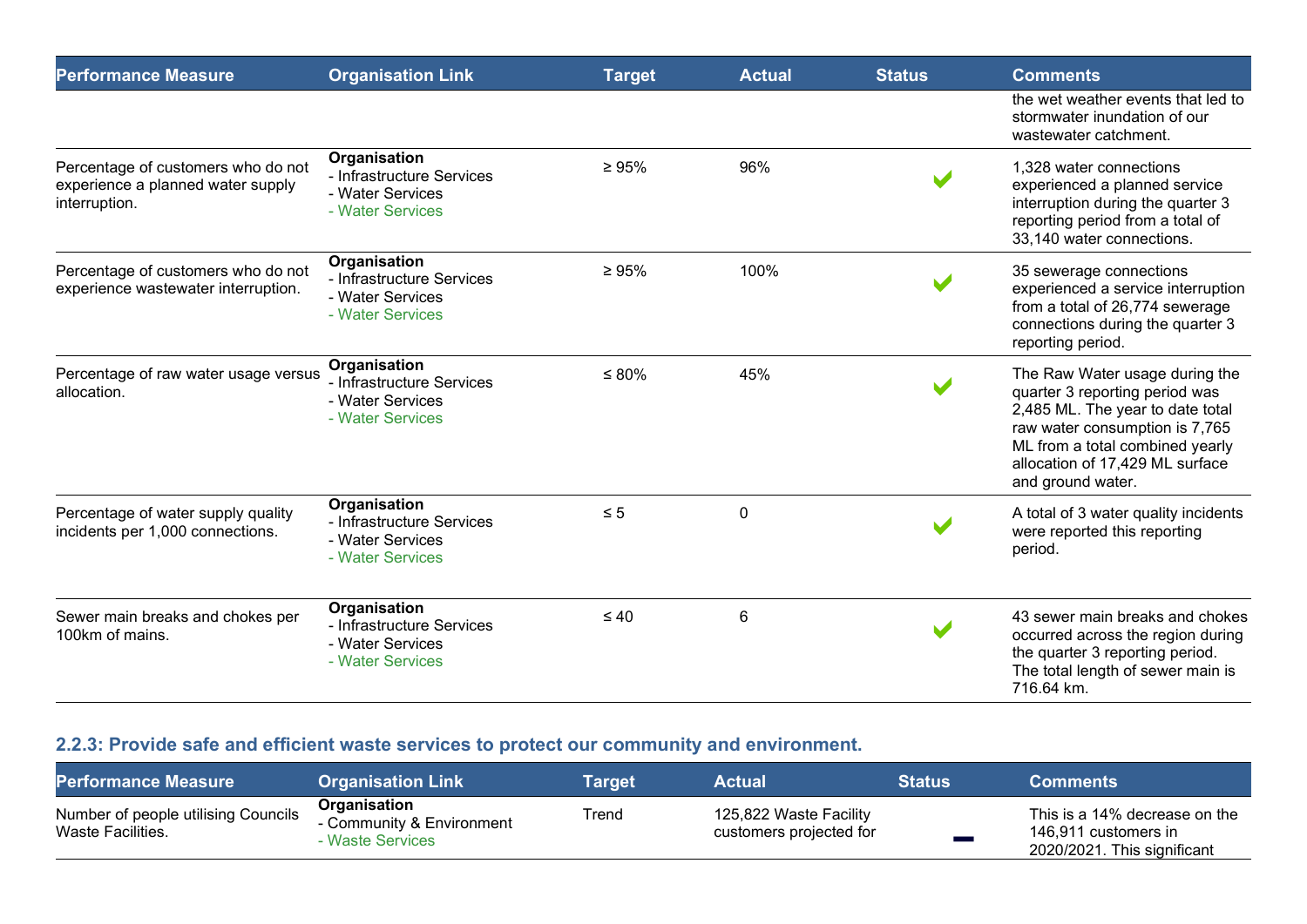| <b>Performance Measure</b>                                                               | <b>Organisation Link</b>                                                                 | <b>Target</b> | <b>Actual</b> | <b>Status</b> | <b>Comments</b>                                                                                                                                                                                                                   |
|------------------------------------------------------------------------------------------|------------------------------------------------------------------------------------------|---------------|---------------|---------------|-----------------------------------------------------------------------------------------------------------------------------------------------------------------------------------------------------------------------------------|
|                                                                                          |                                                                                          |               |               |               | the wet weather events that led to<br>stormwater inundation of our<br>wastewater catchment.                                                                                                                                       |
| Percentage of customers who do not<br>experience a planned water supply<br>interruption. | Organisation<br>- Infrastructure Services<br>- Water Services<br>- Water Services        | $\geq 95\%$   | 96%           |               | 1,328 water connections<br>experienced a planned service<br>interruption during the quarter 3<br>reporting period from a total of<br>33,140 water connections.                                                                    |
| Percentage of customers who do not<br>experience wastewater interruption.                | Organisation<br>- Infrastructure Services<br>- Water Services<br>- Water Services        | $\geq 95\%$   | 100%          |               | 35 sewerage connections<br>experienced a service interruption<br>from a total of 26,774 sewerage<br>connections during the quarter 3<br>reporting period.                                                                         |
| Percentage of raw water usage versus<br>allocation.                                      | Organisation<br>- Infrastructure Services<br>- Water Services<br>- Water Services        | $\leq 80\%$   | 45%           |               | The Raw Water usage during the<br>quarter 3 reporting period was<br>2,485 ML. The year to date total<br>raw water consumption is 7,765<br>ML from a total combined yearly<br>allocation of 17,429 ML surface<br>and ground water. |
| Percentage of water supply quality<br>incidents per 1,000 connections.                   | <b>Organisation</b><br>- Infrastructure Services<br>- Water Services<br>- Water Services | $\leq 5$      | 0             |               | A total of 3 water quality incidents<br>were reported this reporting<br>period.                                                                                                                                                   |
| Sewer main breaks and chokes per<br>100km of mains.                                      | Organisation<br>- Infrastructure Services<br>- Water Services<br>- Water Services        | $\leq 40$     | 6             |               | 43 sewer main breaks and chokes<br>occurred across the region during<br>the quarter 3 reporting period.<br>The total length of sewer main is<br>716.64 km.                                                                        |

# 2.2.3: Provide safe and efficient waste services to protect our community and environment.

| <b>Performance Measure</b>                               | <b>Organisation Link</b>                                           | <b>Target</b> | <b>Actual</b>                                     | <b>Status</b> | <b>Comments</b>                                                                      |
|----------------------------------------------------------|--------------------------------------------------------------------|---------------|---------------------------------------------------|---------------|--------------------------------------------------------------------------------------|
| Number of people utilising Councils<br>Waste Facilities. | <b>Organisation</b><br>Community & Environment<br>- Waste Services | Trend         | 125,822 Waste Facility<br>customers projected for |               | This is a 14% decrease on the<br>146,911 customers in<br>2020/2021. This significant |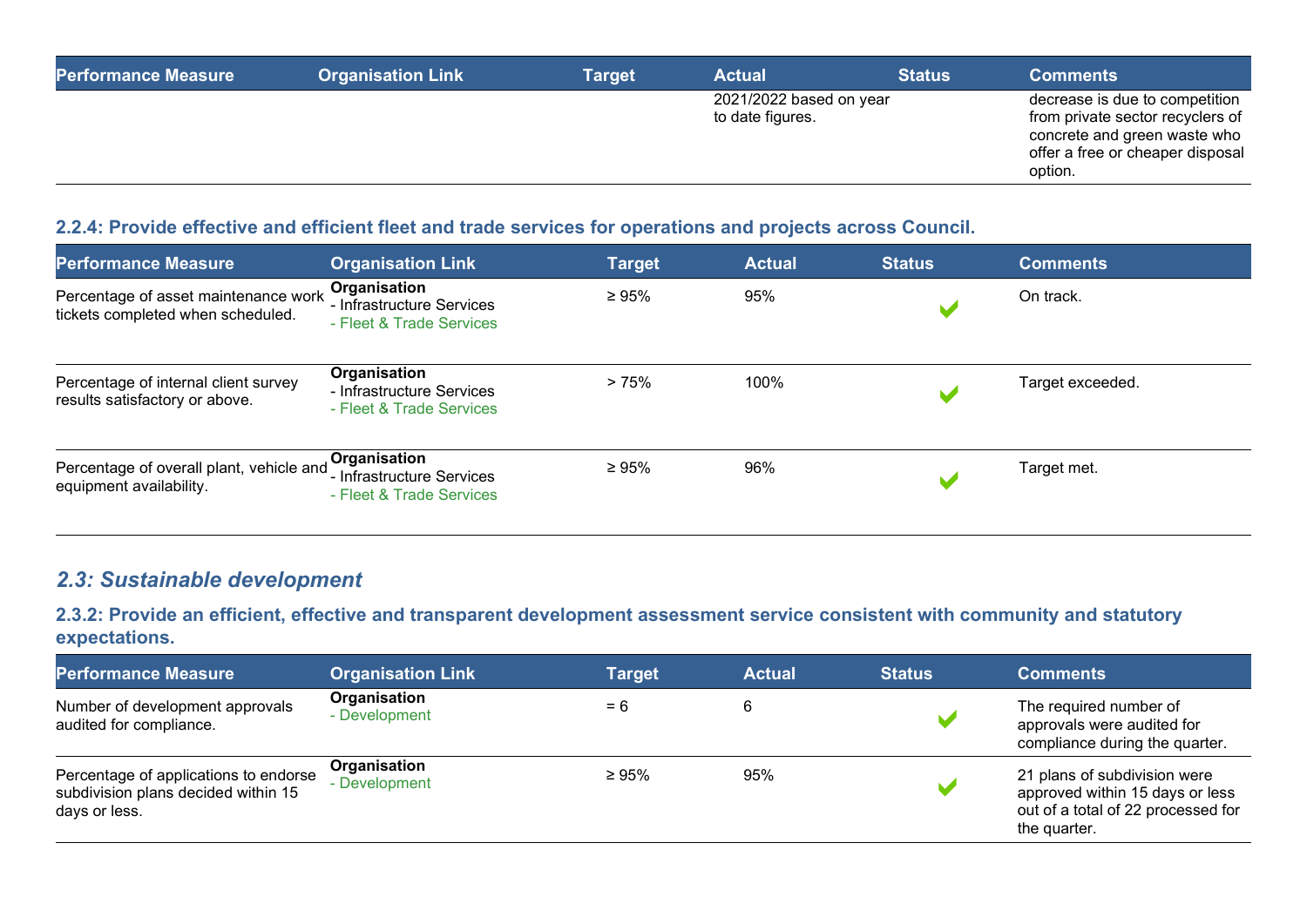| <b>Performance Measure</b> | <b>Organisation Link</b> | <b>Target</b> | <b>Actual</b>                               | <b>Status</b> | <b>Comments</b>                                                                                                                                   |
|----------------------------|--------------------------|---------------|---------------------------------------------|---------------|---------------------------------------------------------------------------------------------------------------------------------------------------|
|                            |                          |               | 2021/2022 based on year<br>to date figures. |               | decrease is due to competition<br>from private sector recyclers of<br>concrete and green waste who<br>offer a free or cheaper disposal<br>option. |

#### 2.2.4: Provide effective and efficient fleet and trade services for operations and projects across Council.

| <b>Performance Measure</b>                                                | <b>Organisation Link</b>                                                       | <b>Target</b> | <b>Actual</b> | <b>Status</b> | <b>Comments</b>  |
|---------------------------------------------------------------------------|--------------------------------------------------------------------------------|---------------|---------------|---------------|------------------|
| Percentage of asset maintenance work<br>tickets completed when scheduled. | Organisation<br>- Infrastructure Services<br>- Fleet & Trade Services          | $\geq 95\%$   | 95%           |               | On track.        |
| Percentage of internal client survey<br>results satisfactory or above.    | Organisation<br>- Infrastructure Services<br>- Fleet & Trade Services          | >75%          | 100%          |               | Target exceeded. |
| Percentage of overall plant, vehicle and<br>equipment availability.       | <b>Organisation</b><br>' - Infrastructure Services<br>- Fleet & Trade Services | $\geq 95\%$   | 96%           |               | Target met.      |

## 2.3: Sustainable development

2.3.2: Provide an efficient, effective and transparent development assessment service consistent with community and statutory expectations.

| <b>Performance Measure</b>                                                                    | <b>Organisation Link</b>      | <b>Target</b> | <b>Actual</b> | <b>Status</b> | <b>Comments</b>                                                                                                       |
|-----------------------------------------------------------------------------------------------|-------------------------------|---------------|---------------|---------------|-----------------------------------------------------------------------------------------------------------------------|
| Number of development approvals<br>audited for compliance.                                    | Organisation<br>- Development | $= 6$         |               |               | The required number of<br>approvals were audited for<br>compliance during the quarter.                                |
| Percentage of applications to endorse<br>subdivision plans decided within 15<br>days or less. | Organisation<br>- Development | $\geq 95\%$   | 95%           |               | 21 plans of subdivision were<br>approved within 15 days or less<br>out of a total of 22 processed for<br>the quarter. |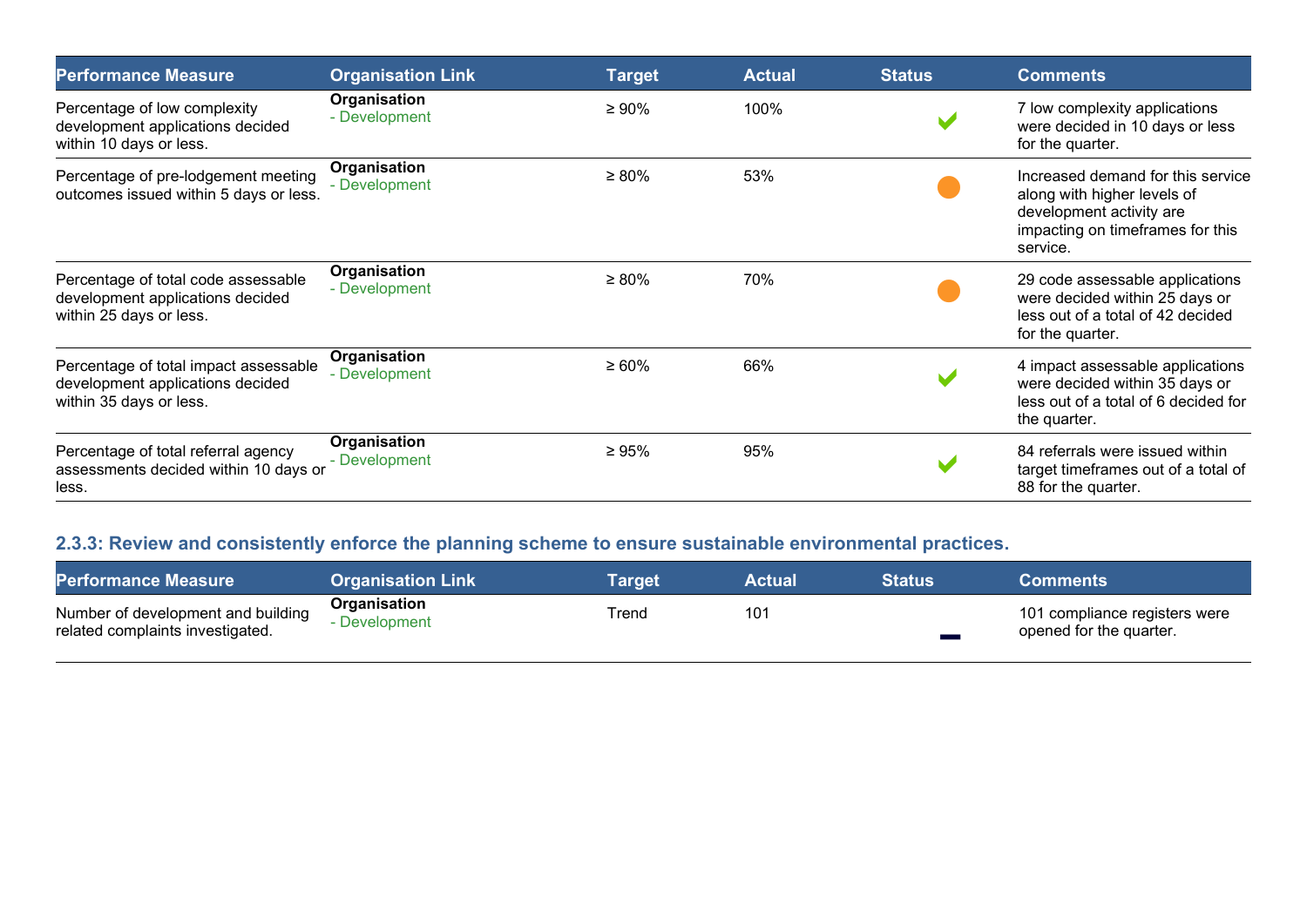| <b>Performance Measure</b>                                                                           | <b>Organisation Link</b>      | <b>Target</b> | <b>Actual</b> | <b>Status</b> | <b>Comments</b>                                                                                                                              |
|------------------------------------------------------------------------------------------------------|-------------------------------|---------------|---------------|---------------|----------------------------------------------------------------------------------------------------------------------------------------------|
| Percentage of low complexity<br>development applications decided<br>within 10 days or less.          | Organisation<br>- Development | $\geq 90\%$   | 100%          |               | 7 low complexity applications<br>were decided in 10 days or less<br>for the quarter.                                                         |
| Percentage of pre-lodgement meeting<br>outcomes issued within 5 days or less.                        | Organisation<br>- Development | $\geq 80\%$   | 53%           |               | Increased demand for this service<br>along with higher levels of<br>development activity are<br>impacting on timeframes for this<br>service. |
| Percentage of total code assessable<br>development applications decided<br>within 25 days or less.   | Organisation<br>- Development | $\geq 80\%$   | 70%           |               | 29 code assessable applications<br>were decided within 25 days or<br>less out of a total of 42 decided<br>for the quarter.                   |
| Percentage of total impact assessable<br>development applications decided<br>within 35 days or less. | Organisation<br>- Development | $\geq 60\%$   | 66%           |               | 4 impact assessable applications<br>were decided within 35 days or<br>less out of a total of 6 decided for<br>the quarter.                   |
| Percentage of total referral agency<br>assessments decided within 10 days or<br>less.                | Organisation<br>- Development | $\geq 95\%$   | 95%           |               | 84 referrals were issued within<br>target timeframes out of a total of<br>88 for the quarter.                                                |

# 2.3.3: Review and consistently enforce the planning scheme to ensure sustainable environmental practices.

| <b>Performance Measure</b>                                             | <b>Organisation Link</b>      | Target | Actual | <b>Status</b> | <b>Comments</b>                                          |
|------------------------------------------------------------------------|-------------------------------|--------|--------|---------------|----------------------------------------------------------|
| Number of development and building<br>related complaints investigated. | Organisation<br>- Development | Trend  | 101    |               | 101 compliance registers were<br>opened for the quarter. |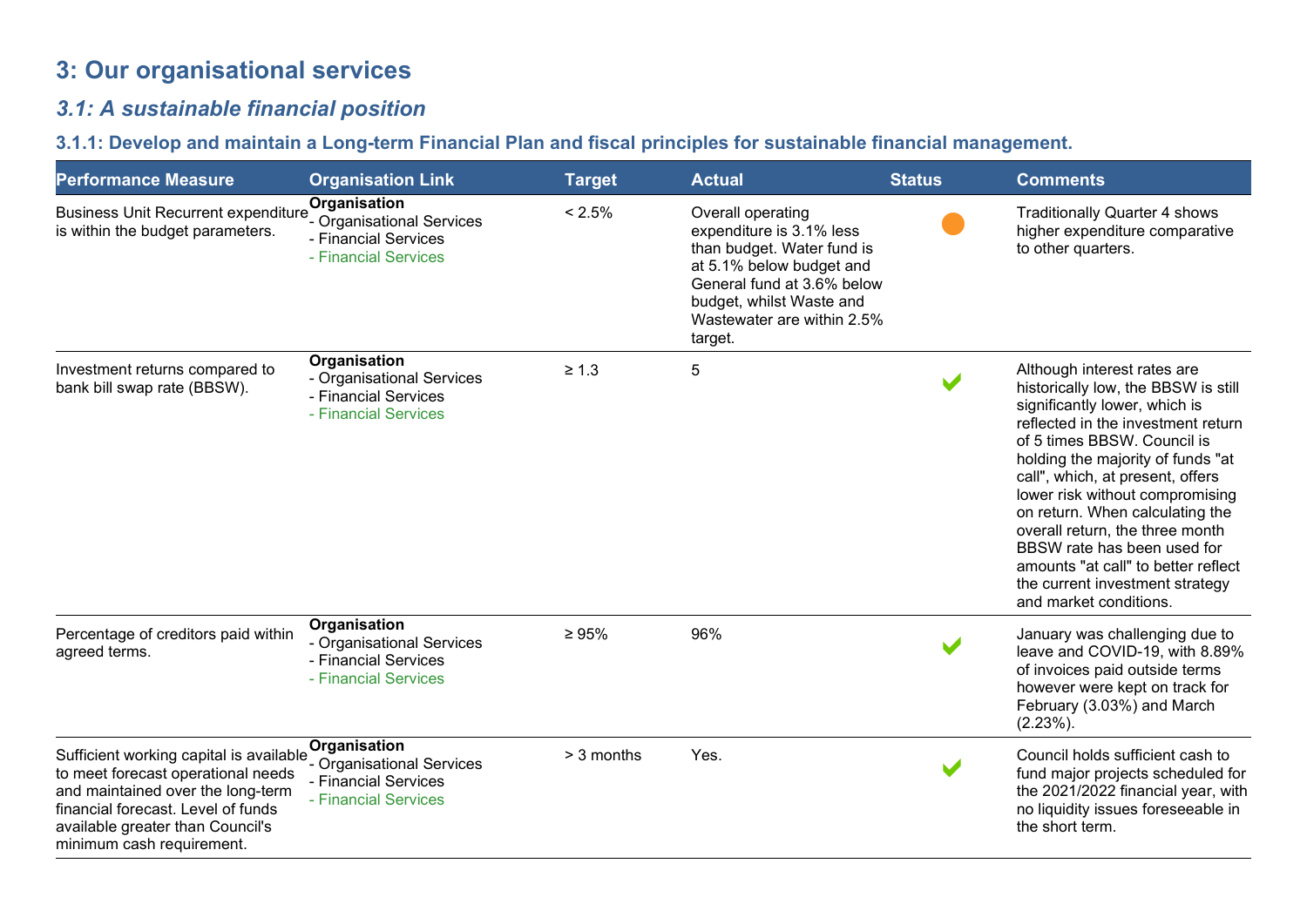# 3: Our organisational services

# 3.1: A sustainable financial position

# 3.1.1: Develop and maintain a Long-term Financial Plan and fiscal principles for sustainable financial management.

| <b>Performance Measure</b>                                                                                                                                                                                                | <b>Organisation Link</b>                                                                  | <b>Target</b> | <b>Actual</b>                                                                                                                                                                                              | <b>Status</b>        | <b>Comments</b>                                                                                                                                                                                                                                                                                                                                                                                                                                                                               |
|---------------------------------------------------------------------------------------------------------------------------------------------------------------------------------------------------------------------------|-------------------------------------------------------------------------------------------|---------------|------------------------------------------------------------------------------------------------------------------------------------------------------------------------------------------------------------|----------------------|-----------------------------------------------------------------------------------------------------------------------------------------------------------------------------------------------------------------------------------------------------------------------------------------------------------------------------------------------------------------------------------------------------------------------------------------------------------------------------------------------|
| <b>Business Unit Recurrent expenditure</b><br>is within the budget parameters.                                                                                                                                            | Organisation<br>- Organisational Services<br>- Financial Services<br>- Financial Services | < 2.5%        | Overall operating<br>expenditure is 3.1% less<br>than budget. Water fund is<br>at 5.1% below budget and<br>General fund at 3.6% below<br>budget, whilst Waste and<br>Wastewater are within 2.5%<br>target. |                      | <b>Traditionally Quarter 4 shows</b><br>higher expenditure comparative<br>to other quarters.                                                                                                                                                                                                                                                                                                                                                                                                  |
| Investment returns compared to<br>bank bill swap rate (BBSW).                                                                                                                                                             | Organisation<br>- Organisational Services<br>- Financial Services<br>- Financial Services | $\geq 1.3$    | 5                                                                                                                                                                                                          | $\blacktriangledown$ | Although interest rates are<br>historically low, the BBSW is still<br>significantly lower, which is<br>reflected in the investment return<br>of 5 times BBSW. Council is<br>holding the majority of funds "at<br>call", which, at present, offers<br>lower risk without compromising<br>on return. When calculating the<br>overall return, the three month<br>BBSW rate has been used for<br>amounts "at call" to better reflect<br>the current investment strategy<br>and market conditions. |
| Percentage of creditors paid within<br>agreed terms.                                                                                                                                                                      | Organisation<br>- Organisational Services<br>- Financial Services<br>- Financial Services | $\geq 95\%$   | 96%                                                                                                                                                                                                        |                      | January was challenging due to<br>leave and COVID-19, with 8.89%<br>of invoices paid outside terms<br>however were kept on track for<br>February (3.03%) and March<br>$(2.23\%)$ .                                                                                                                                                                                                                                                                                                            |
| Sufficient working capital is available<br>to meet forecast operational needs<br>and maintained over the long-term<br>financial forecast. Level of funds<br>available greater than Council's<br>minimum cash requirement. | Organisation<br>- Organisational Services<br>- Financial Services<br>- Financial Services | > 3 months    | Yes.                                                                                                                                                                                                       | $\blacktriangledown$ | Council holds sufficient cash to<br>fund major projects scheduled for<br>the 2021/2022 financial year, with<br>no liquidity issues foreseeable in<br>the short term.                                                                                                                                                                                                                                                                                                                          |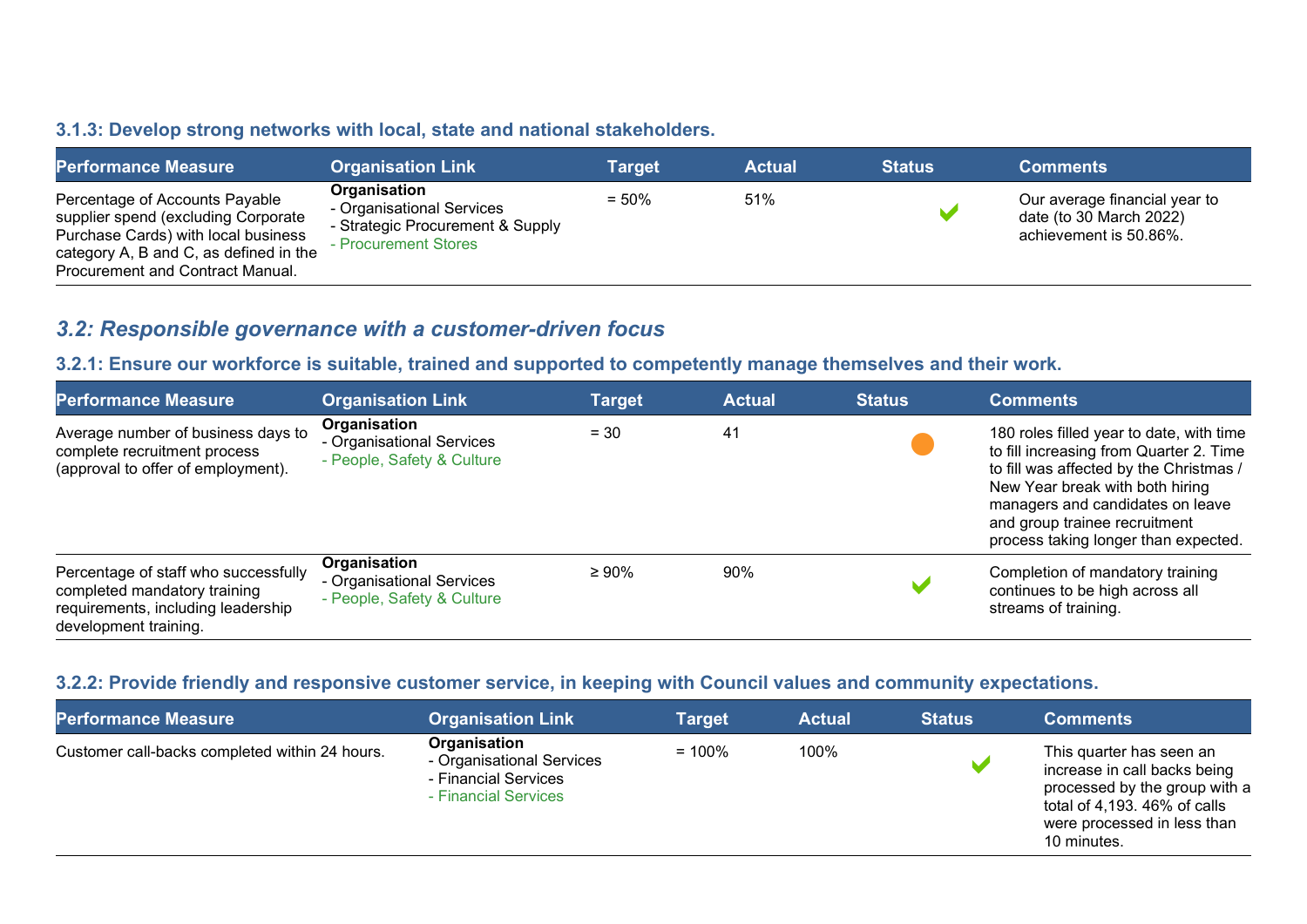#### 3.1.3: Develop strong networks with local, state and national stakeholders.

| <b>Performance Measure</b>                                                                                                                                                                 | <b>Organisation Link</b>                                                                              | Target   | <b>Actual</b> | <b>Status</b> | <b>Comments</b>                                                                    |
|--------------------------------------------------------------------------------------------------------------------------------------------------------------------------------------------|-------------------------------------------------------------------------------------------------------|----------|---------------|---------------|------------------------------------------------------------------------------------|
| Percentage of Accounts Payable<br>supplier spend (excluding Corporate<br>Purchase Cards) with local business<br>category A, B and C, as defined in the<br>Procurement and Contract Manual. | Organisation<br>- Organisational Services<br>- Strategic Procurement & Supply<br>- Procurement Stores | $= 50\%$ | 51%           |               | Our average financial year to<br>date (to 30 March 2022)<br>achievement is 50.86%. |

## 3.2: Responsible governance with a customer-driven focus

#### 3.2.1: Ensure our workforce is suitable, trained and supported to competently manage themselves and their work.

| <b>Performance Measure</b>                                                                                                          | <b>Organisation Link</b>                                                | <b>Target</b> | <b>Actual</b> | <b>Status</b> | <b>Comments</b>                                                                                                                                                                                                                                                                |
|-------------------------------------------------------------------------------------------------------------------------------------|-------------------------------------------------------------------------|---------------|---------------|---------------|--------------------------------------------------------------------------------------------------------------------------------------------------------------------------------------------------------------------------------------------------------------------------------|
| Average number of business days to<br>complete recruitment process<br>(approval to offer of employment).                            | Organisation<br>- Organisational Services<br>- People, Safety & Culture | $= 30$        | 41            |               | 180 roles filled year to date, with time<br>to fill increasing from Quarter 2. Time<br>to fill was affected by the Christmas /<br>New Year break with both hiring<br>managers and candidates on leave<br>and group trainee recruitment<br>process taking longer than expected. |
| Percentage of staff who successfully<br>completed mandatory training<br>requirements, including leadership<br>development training. | Organisation<br>- Organisational Services<br>- People, Safety & Culture | $\geq 90\%$   | 90%           |               | Completion of mandatory training<br>continues to be high across all<br>streams of training.                                                                                                                                                                                    |

#### 3.2.2: Provide friendly and responsive customer service, in keeping with Council values and community expectations.

| <b>Performance Measure</b>                     | <b>Organisation Link</b>                                                                  | <b>Target</b> | <b>Actual</b> | <b>Status</b> | <b>Comments</b>                                                                                                                                                         |
|------------------------------------------------|-------------------------------------------------------------------------------------------|---------------|---------------|---------------|-------------------------------------------------------------------------------------------------------------------------------------------------------------------------|
| Customer call-backs completed within 24 hours. | Organisation<br>- Organisational Services<br>- Financial Services<br>- Financial Services | $= 100\%$     | 100%          |               | This quarter has seen an<br>increase in call backs being<br>processed by the group with a<br>total of 4,193. 46% of calls<br>were processed in less than<br>10 minutes. |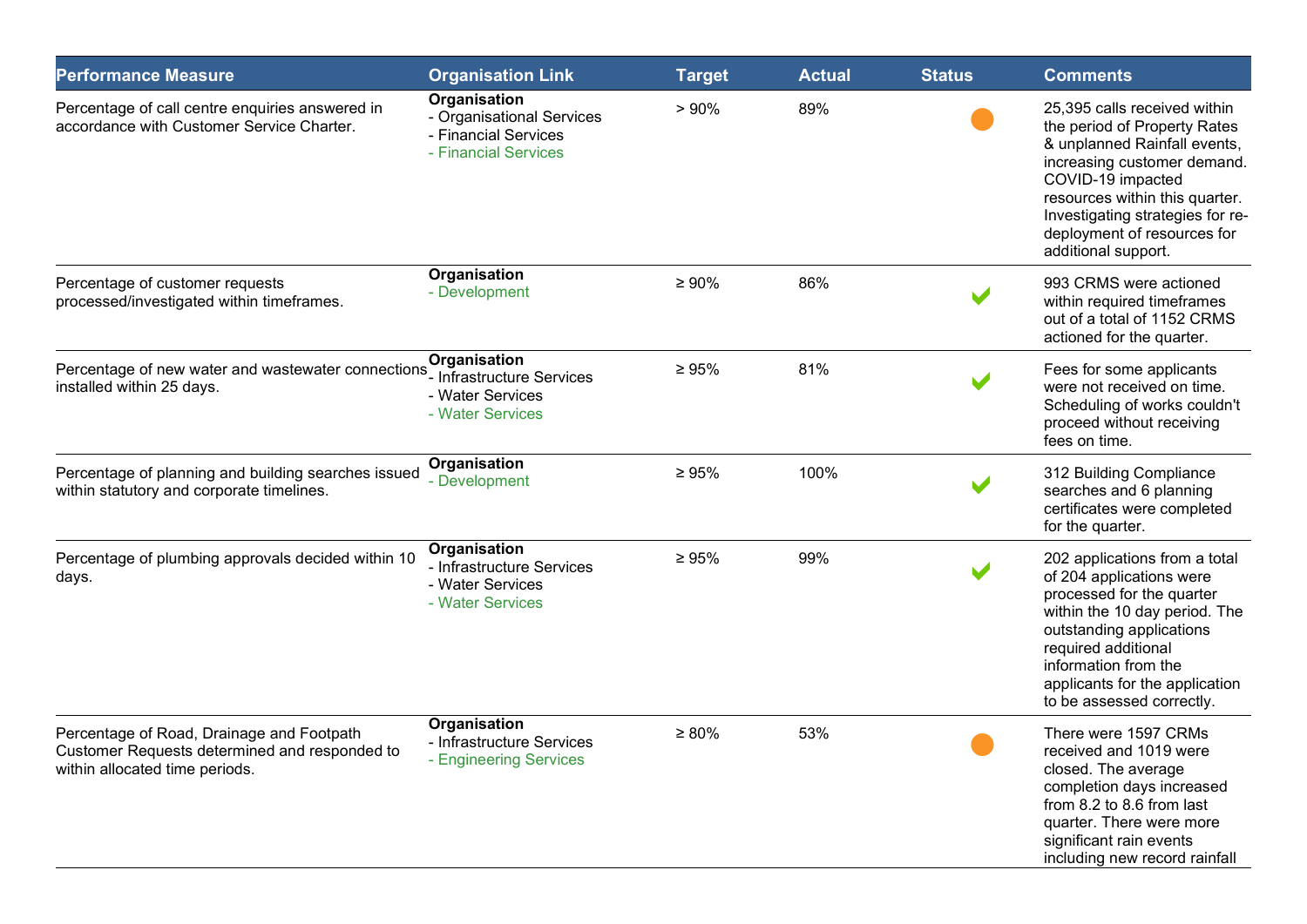| <b>Performance Measure</b>                                                                                                   | <b>Organisation Link</b>                                                                  | <b>Target</b> | <b>Actual</b> | <b>Status</b> | <b>Comments</b>                                                                                                                                                                                                                                                              |
|------------------------------------------------------------------------------------------------------------------------------|-------------------------------------------------------------------------------------------|---------------|---------------|---------------|------------------------------------------------------------------------------------------------------------------------------------------------------------------------------------------------------------------------------------------------------------------------------|
| Percentage of call centre enquiries answered in<br>accordance with Customer Service Charter.                                 | Organisation<br>- Organisational Services<br>- Financial Services<br>- Financial Services | > 90%         | 89%           |               | 25,395 calls received within<br>the period of Property Rates<br>& unplanned Rainfall events,<br>increasing customer demand.<br>COVID-19 impacted<br>resources within this quarter.<br>Investigating strategies for re-<br>deployment of resources for<br>additional support. |
| Percentage of customer requests<br>processed/investigated within timeframes.                                                 | Organisation<br>- Development                                                             | $\geq 90\%$   | 86%           |               | 993 CRMS were actioned<br>within required timeframes<br>out of a total of 1152 CRMS<br>actioned for the quarter.                                                                                                                                                             |
| Percentage of new water and wastewater connections<br>installed within 25 days.                                              | Organisation<br>- Infrastructure Services<br>- Water Services<br>- Water Services         | $\geq 95\%$   | 81%           |               | Fees for some applicants<br>were not received on time.<br>Scheduling of works couldn't<br>proceed without receiving<br>fees on time.                                                                                                                                         |
| Percentage of planning and building searches issued<br>within statutory and corporate timelines.                             | Organisation<br>- Development                                                             | $\geq 95\%$   | 100%          |               | 312 Building Compliance<br>searches and 6 planning<br>certificates were completed<br>for the quarter.                                                                                                                                                                        |
| Percentage of plumbing approvals decided within 10<br>days.                                                                  | Organisation<br>- Infrastructure Services<br>- Water Services<br>- Water Services         | $\geq 95\%$   | 99%           |               | 202 applications from a total<br>of 204 applications were<br>processed for the quarter<br>within the 10 day period. The<br>outstanding applications<br>required additional<br>information from the<br>applicants for the application<br>to be assessed correctly.            |
| Percentage of Road, Drainage and Footpath<br>Customer Requests determined and responded to<br>within allocated time periods. | Organisation<br>- Infrastructure Services<br>- Engineering Services                       | $\geq 80\%$   | 53%           |               | There were 1597 CRMs<br>received and 1019 were<br>closed. The average<br>completion days increased<br>from 8.2 to 8.6 from last<br>quarter. There were more<br>significant rain events<br>including new record rainfall                                                      |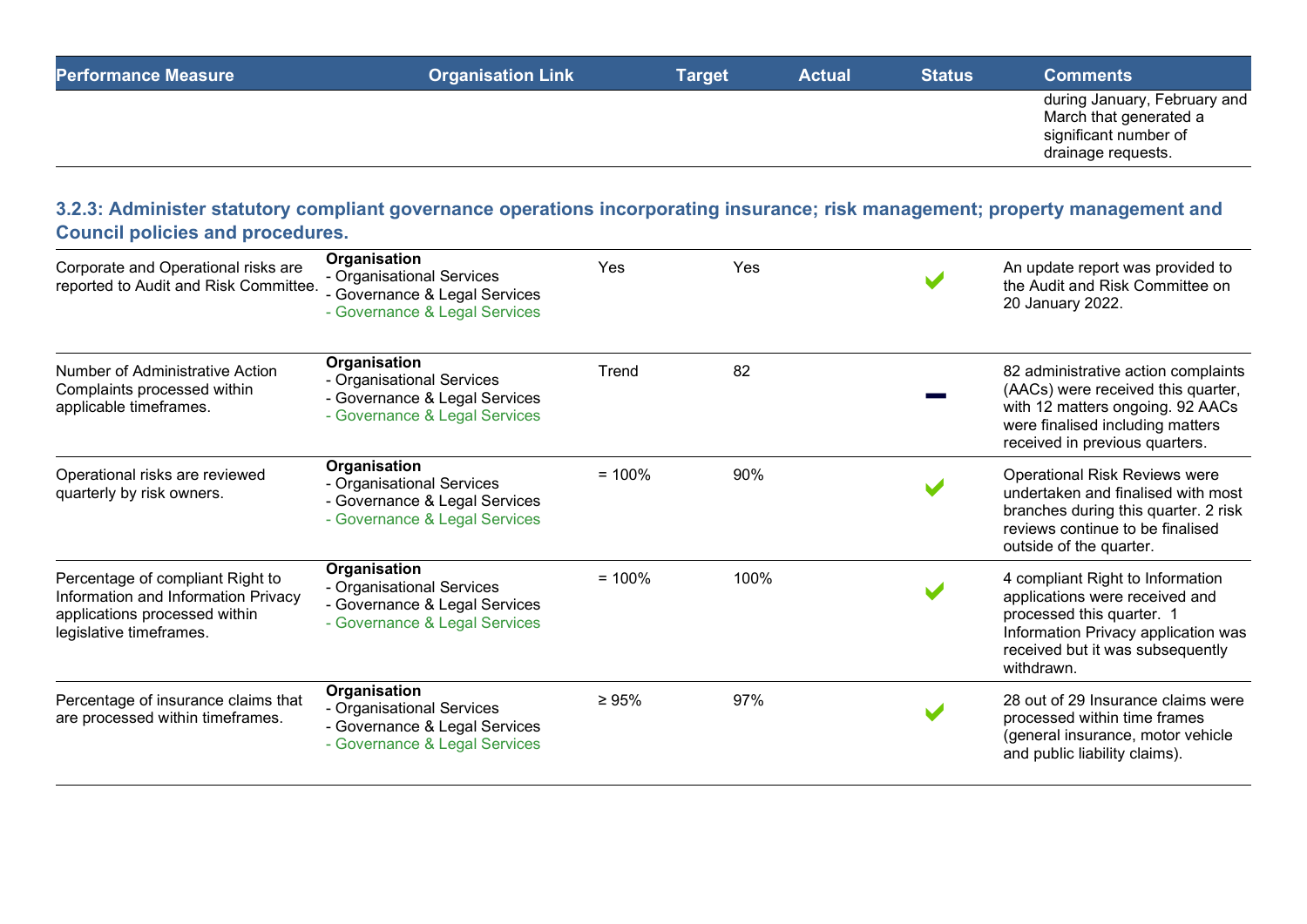| <b>Performance Measure</b> | <b>Organisation Link</b> | Target | Actual | <b>Status</b> | <b>Comments</b>                                                                                       |
|----------------------------|--------------------------|--------|--------|---------------|-------------------------------------------------------------------------------------------------------|
|                            |                          |        |        |               | during January, February and<br>March that generated a<br>significant number of<br>drainage requests. |

## 3.2.3: Administer statutory compliant governance operations incorporating insurance; risk management; property management and Council policies and procedures.

| Corporate and Operational risks are<br>reported to Audit and Risk Committee.                                                        | Organisation<br>- Organisational Services<br>- Governance & Legal Services<br>- Governance & Legal Services | Yes         | Yes  | An update report was provided to<br>the Audit and Risk Committee on<br>20 January 2022.                                                                                                  |
|-------------------------------------------------------------------------------------------------------------------------------------|-------------------------------------------------------------------------------------------------------------|-------------|------|------------------------------------------------------------------------------------------------------------------------------------------------------------------------------------------|
| Number of Administrative Action<br>Complaints processed within<br>applicable timeframes.                                            | Organisation<br>- Organisational Services<br>- Governance & Legal Services<br>- Governance & Legal Services | Trend       | 82   | 82 administrative action complaints<br>(AACs) were received this quarter,<br>with 12 matters ongoing. 92 AACs<br>were finalised including matters<br>received in previous quarters.      |
| Operational risks are reviewed<br>quarterly by risk owners.                                                                         | Organisation<br>- Organisational Services<br>- Governance & Legal Services<br>- Governance & Legal Services | $= 100\%$   | 90%  | <b>Operational Risk Reviews were</b><br>undertaken and finalised with most<br>branches during this quarter. 2 risk<br>reviews continue to be finalised<br>outside of the quarter.        |
| Percentage of compliant Right to<br>Information and Information Privacy<br>applications processed within<br>legislative timeframes. | Organisation<br>- Organisational Services<br>- Governance & Legal Services<br>- Governance & Legal Services | $= 100\%$   | 100% | 4 compliant Right to Information<br>applications were received and<br>processed this quarter. 1<br>Information Privacy application was<br>received but it was subsequently<br>withdrawn. |
| Percentage of insurance claims that<br>are processed within timeframes.                                                             | Organisation<br>- Organisational Services<br>- Governance & Legal Services<br>- Governance & Legal Services | $\geq 95\%$ | 97%  | 28 out of 29 Insurance claims were<br>processed within time frames<br>(general insurance, motor vehicle<br>and public liability claims).                                                 |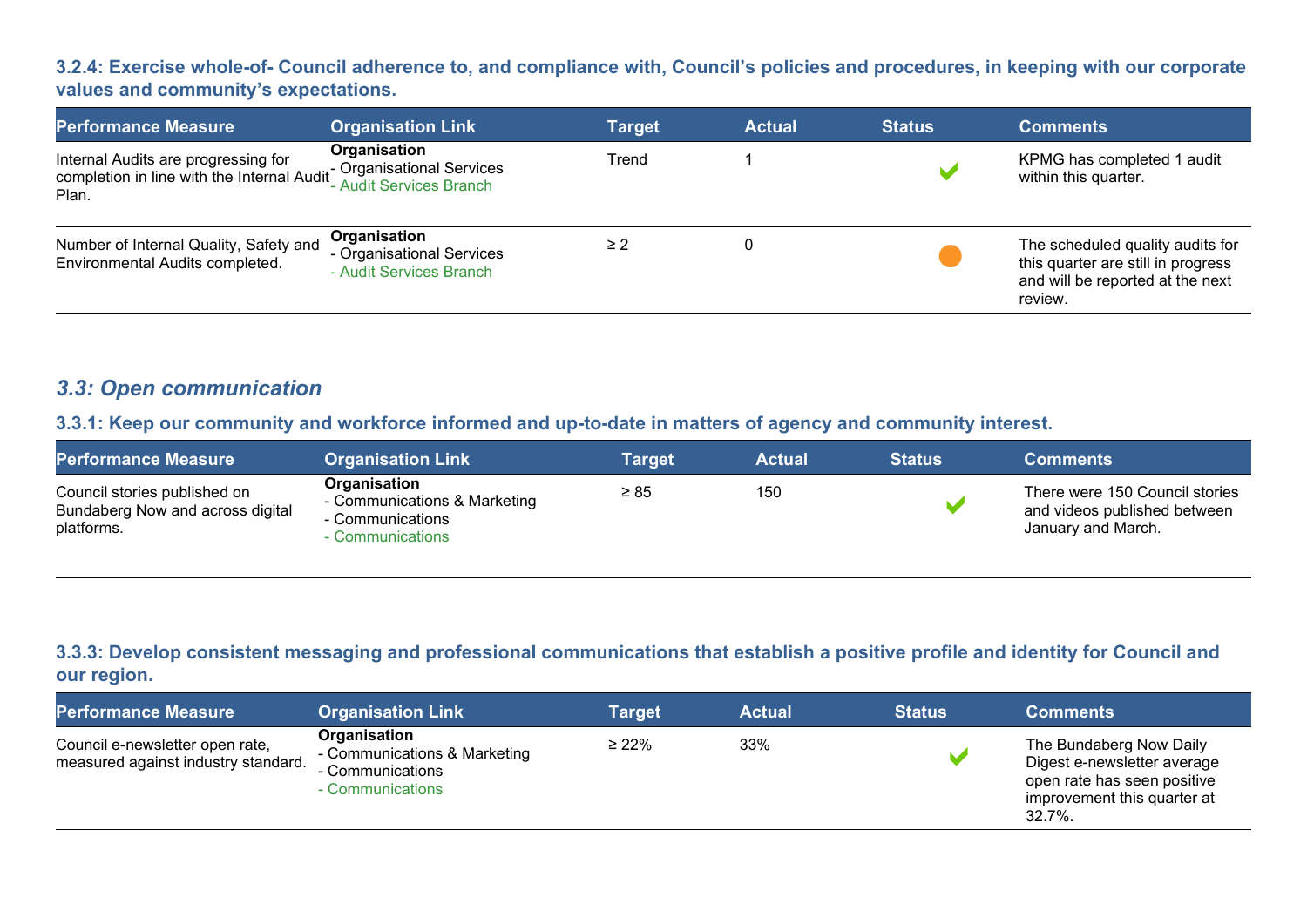#### 3.2.4: Exercise whole-of- Council adherence to, and compliance with, Council's policies and procedures, in keeping with our corporate values and community's expectations.

| <b>Performance Measure</b>                                                                                         | <b>Organisation Link</b>                                             | Target   | <b>Actual</b> | <b>Status</b> | <b>Comments</b>                                                                                                       |
|--------------------------------------------------------------------------------------------------------------------|----------------------------------------------------------------------|----------|---------------|---------------|-----------------------------------------------------------------------------------------------------------------------|
| Internal Audits are progressing for<br>completion in line with the Internal Audit Organisational Services<br>Plan. | Organisation                                                         | Trend    |               |               | KPMG has completed 1 audit<br>within this quarter.                                                                    |
| Number of Internal Quality, Safety and<br>Environmental Audits completed.                                          | Organisation<br>- Organisational Services<br>- Audit Services Branch | $\geq$ 2 |               |               | The scheduled quality audits for<br>this quarter are still in progress<br>and will be reported at the next<br>review. |

## 3.3: Open communication

## 3.3.1: Keep our community and workforce informed and up-to-date in matters of agency and community interest.

| <b>Performance Measure</b>                                                     | <b>Organisation Link</b>                                                             | Target    | Actual | <b>Status</b> | <b>Comments</b>                                                                      |
|--------------------------------------------------------------------------------|--------------------------------------------------------------------------------------|-----------|--------|---------------|--------------------------------------------------------------------------------------|
| Council stories published on<br>Bundaberg Now and across digital<br>platforms. | Organisation<br>- Communications & Marketing<br>- Communications<br>- Communications | $\geq 85$ | 150    |               | There were 150 Council stories<br>and videos published between<br>January and March. |

## 3.3.3: Develop consistent messaging and professional communications that establish a positive profile and identity for Council and our region.

| <b>Performance Measure</b>                                             | <b>Organisation Link</b>                                                             | Target      | <b>Actual</b> | <b>Status</b> | <b>Comments</b>                                                                                                                  |
|------------------------------------------------------------------------|--------------------------------------------------------------------------------------|-------------|---------------|---------------|----------------------------------------------------------------------------------------------------------------------------------|
| Council e-newsletter open rate,<br>measured against industry standard. | Organisation<br>- Communications & Marketing<br>- Communications<br>- Communications | $\geq 22\%$ | 33%           |               | The Bundaberg Now Daily<br>Digest e-newsletter average<br>open rate has seen positive<br>improvement this quarter at<br>$32.7\%$ |